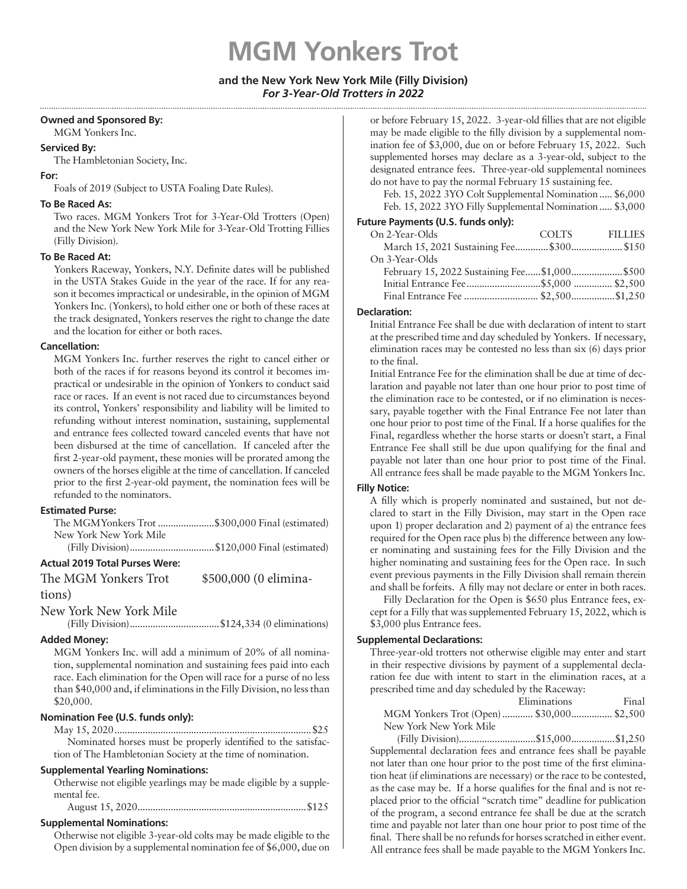# **MGM Yonkers Trot**

# **and the New York New York Mile (Filly Division)** *For 3-Year-Old Trotters in 2022*

#### **Owned and Sponsored By:**

MGM Yonkers Inc.

# **Serviced By:**

The Hambletonian Society, Inc.

#### **For:**

Foals of 2019 (Subject to USTA Foaling Date Rules).

#### **To Be Raced As:**

Two races. MGM Yonkers Trot for 3-Year-Old Trotters (Open) and the New York New York Mile for 3-Year-Old Trotting Fillies (Filly Division).

#### **To Be Raced At:**

Yonkers Raceway, Yonkers, N.Y. Definite dates will be published in the USTA Stakes Guide in the year of the race. If for any reason it becomes impractical or undesirable, in the opinion of MGM Yonkers Inc. (Yonkers), to hold either one or both of these races at the track designated, Yonkers reserves the right to change the date and the location for either or both races.

#### **Cancellation:**

MGM Yonkers Inc. further reserves the right to cancel either or both of the races if for reasons beyond its control it becomes impractical or undesirable in the opinion of Yonkers to conduct said race or races. If an event is not raced due to circumstances beyond its control, Yonkers' responsibility and liability will be limited to refunding without interest nomination, sustaining, supplemental and entrance fees collected toward canceled events that have not been disbursed at the time of cancellation. If canceled after the first 2-year-old payment, these monies will be prorated among the owners of the horses eligible at the time of cancellation. If canceled prior to the first 2-year-old payment, the nomination fees will be refunded to the nominators.

#### **Estimated Purse:**

|                         | The MGMYonkers Trot \$300,000 Final (estimated)                                |
|-------------------------|--------------------------------------------------------------------------------|
| New York New York Mile  |                                                                                |
| $\sqrt{11}$ $\sqrt{11}$ | $\phi$ 4.30.000 $\Gamma$ $\Gamma$ $\Gamma$ $\Gamma$ $\Gamma$ $\Gamma$ $\Gamma$ |

(Filly Division).................................\$120,000 Final (estimated)

# **Actual 2019 Total Purses Were:**

The MGM Yonkers Trot \$500,000 (0 elimina-

tions)

New York New York Mile

(Filly Division)...................................\$124,334 (0 eliminations)

# **Added Money:**

MGM Yonkers Inc. will add a minimum of 20% of all nomination, supplemental nomination and sustaining fees paid into each race. Each elimination for the Open will race for a purse of no less than \$40,000 and, if eliminations in the Filly Division, no less than \$20,000.

# **Nomination Fee (U.S. funds only):**

May 15, 2020.............................................................................\$25 Nominated horses must be properly identified to the satisfaction of The Hambletonian Society at the time of nomination.

# **Supplemental Yearling Nominations:**

Otherwise not eligible yearlings may be made eligible by a supplemental fee.

# **Supplemental Nominations:**

Otherwise not eligible 3-year-old colts may be made eligible to the Open division by a supplemental nomination fee of \$6,000, due on

or before February 15, 2022. 3-year-old fillies that are not eligible may be made eligible to the filly division by a supplemental nomination fee of \$3,000, due on or before February 15, 2022. Such supplemented horses may declare as a 3-year-old, subject to the designated entrance fees. Three-year-old supplemental nominees do not have to pay the normal February 15 sustaining fee.

Feb. 15, 2022 3YO Colt Supplemental Nomination..... \$6,000 Feb. 15, 2022 3YO Filly Supplemental Nomination..... \$3,000

### **Future Payments (U.S. funds only):**

| On 2-Year-Olds                               | COLTS FILLIES |
|----------------------------------------------|---------------|
|                                              |               |
| On 3-Year-Olds                               |               |
| February 15, 2022 Sustaining Fee\$1,000\$500 |               |
|                                              |               |
|                                              |               |
|                                              |               |

#### **Declaration:**

Initial Entrance Fee shall be due with declaration of intent to start at the prescribed time and day scheduled by Yonkers. If necessary, elimination races may be contested no less than six (6) days prior to the final.

Initial Entrance Fee for the elimination shall be due at time of declaration and payable not later than one hour prior to post time of the elimination race to be contested, or if no elimination is necessary, payable together with the Final Entrance Fee not later than one hour prior to post time of the Final. If a horse qualifies for the Final, regardless whether the horse starts or doesn't start, a Final Entrance Fee shall still be due upon qualifying for the final and payable not later than one hour prior to post time of the Final. All entrance fees shall be made payable to the MGM Yonkers Inc.

#### **Filly Notice:**

A filly which is properly nominated and sustained, but not declared to start in the Filly Division, may start in the Open race upon 1) proper declaration and 2) payment of a) the entrance fees required for the Open race plus b) the difference between any lower nominating and sustaining fees for the Filly Division and the higher nominating and sustaining fees for the Open race. In such event previous payments in the Filly Division shall remain therein and shall be forfeits. A filly may not declare or enter in both races.

Filly Declaration for the Open is \$650 plus Entrance fees, except for a Filly that was supplemented February 15, 2022, which is \$3,000 plus Entrance fees.

#### **Supplemental Declarations:**

Three-year-old trotters not otherwise eligible may enter and start in their respective divisions by payment of a supplemental declaration fee due with intent to start in the elimination races, at a prescribed time and day scheduled by the Raceway:

|                                          | Eliminations | Final |
|------------------------------------------|--------------|-------|
| MGM Yonkers Trot (Open) \$30,000 \$2,500 |              |       |
| New York New York Mile                   |              |       |

(Filly Division)..............................\$15,000.................\$1,250 Supplemental declaration fees and entrance fees shall be payable not later than one hour prior to the post time of the first elimination heat (if eliminations are necessary) or the race to be contested, as the case may be. If a horse qualifies for the final and is not replaced prior to the official "scratch time" deadline for publication of the program, a second entrance fee shall be due at the scratch time and payable not later than one hour prior to post time of the final. There shall be no refunds for horses scratched in either event. All entrance fees shall be made payable to the MGM Yonkers Inc.